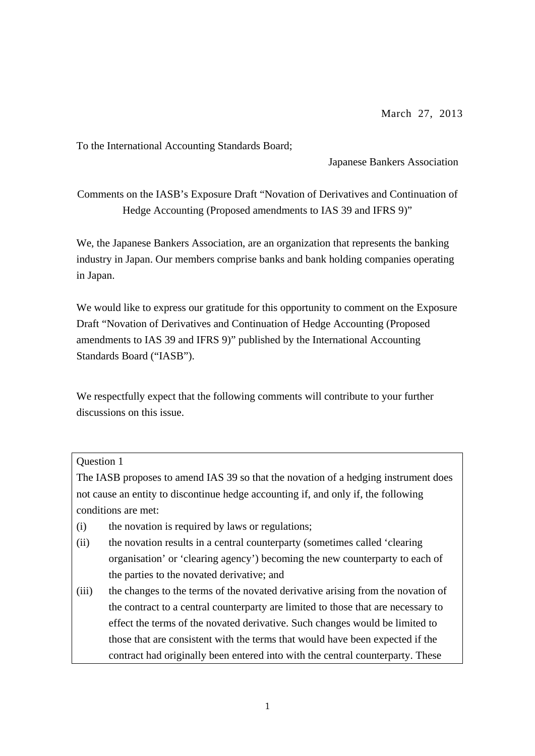To the International Accounting Standards Board;

Japanese Bankers Association

Comments on the IASB's Exposure Draft "Novation of Derivatives and Continuation of Hedge Accounting (Proposed amendments to IAS 39 and IFRS 9)"

We, the Japanese Bankers Association, are an organization that represents the banking industry in Japan. Our members comprise banks and bank holding companies operating in Japan.

We would like to express our gratitude for this opportunity to comment on the Exposure Draft "Novation of Derivatives and Continuation of Hedge Accounting (Proposed amendments to IAS 39 and IFRS 9)" published by the International Accounting Standards Board ("IASB").

We respectfully expect that the following comments will contribute to your further discussions on this issue.

## Question 1

The IASB proposes to amend IAS 39 so that the novation of a hedging instrument does not cause an entity to discontinue hedge accounting if, and only if, the following conditions are met:

- (i) the novation is required by laws or regulations;
- (ii) the novation results in a central counterparty (sometimes called 'clearing organisation' or 'clearing agency') becoming the new counterparty to each of the parties to the novated derivative; and
- (iii) the changes to the terms of the novated derivative arising from the novation of the contract to a central counterparty are limited to those that are necessary to effect the terms of the novated derivative. Such changes would be limited to those that are consistent with the terms that would have been expected if the contract had originally been entered into with the central counterparty. These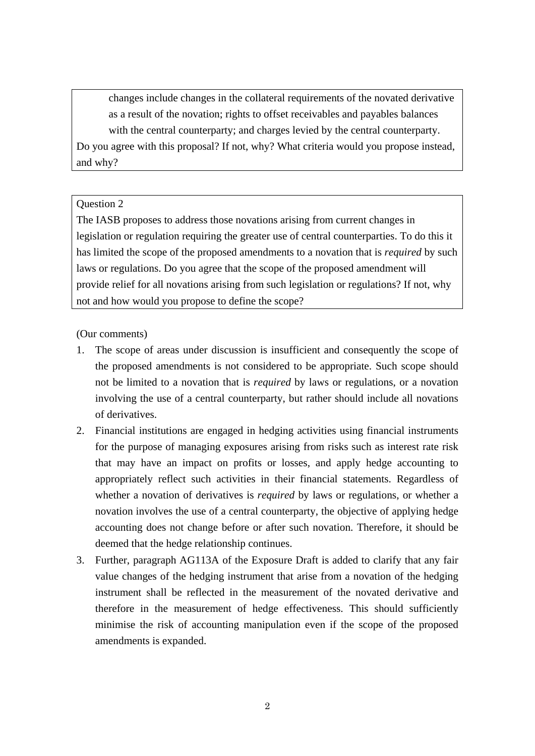changes include changes in the collateral requirements of the novated derivative as a result of the novation; rights to offset receivables and payables balances with the central counterparty; and charges levied by the central counterparty. Do you agree with this proposal? If not, why? What criteria would you propose instead, and why?

## Question 2

The IASB proposes to address those novations arising from current changes in legislation or regulation requiring the greater use of central counterparties. To do this it has limited the scope of the proposed amendments to a novation that is *required* by such laws or regulations. Do you agree that the scope of the proposed amendment will provide relief for all novations arising from such legislation or regulations? If not, why not and how would you propose to define the scope?

(Our comments)

- 1. The scope of areas under discussion is insufficient and consequently the scope of the proposed amendments is not considered to be appropriate. Such scope should not be limited to a novation that is *required* by laws or regulations, or a novation involving the use of a central counterparty, but rather should include all novations of derivatives.
- 2. Financial institutions are engaged in hedging activities using financial instruments for the purpose of managing exposures arising from risks such as interest rate risk that may have an impact on profits or losses, and apply hedge accounting to appropriately reflect such activities in their financial statements. Regardless of whether a novation of derivatives is *required* by laws or regulations, or whether a novation involves the use of a central counterparty, the objective of applying hedge accounting does not change before or after such novation. Therefore, it should be deemed that the hedge relationship continues.
- 3. Further, paragraph AG113A of the Exposure Draft is added to clarify that any fair value changes of the hedging instrument that arise from a novation of the hedging instrument shall be reflected in the measurement of the novated derivative and therefore in the measurement of hedge effectiveness. This should sufficiently minimise the risk of accounting manipulation even if the scope of the proposed amendments is expanded.